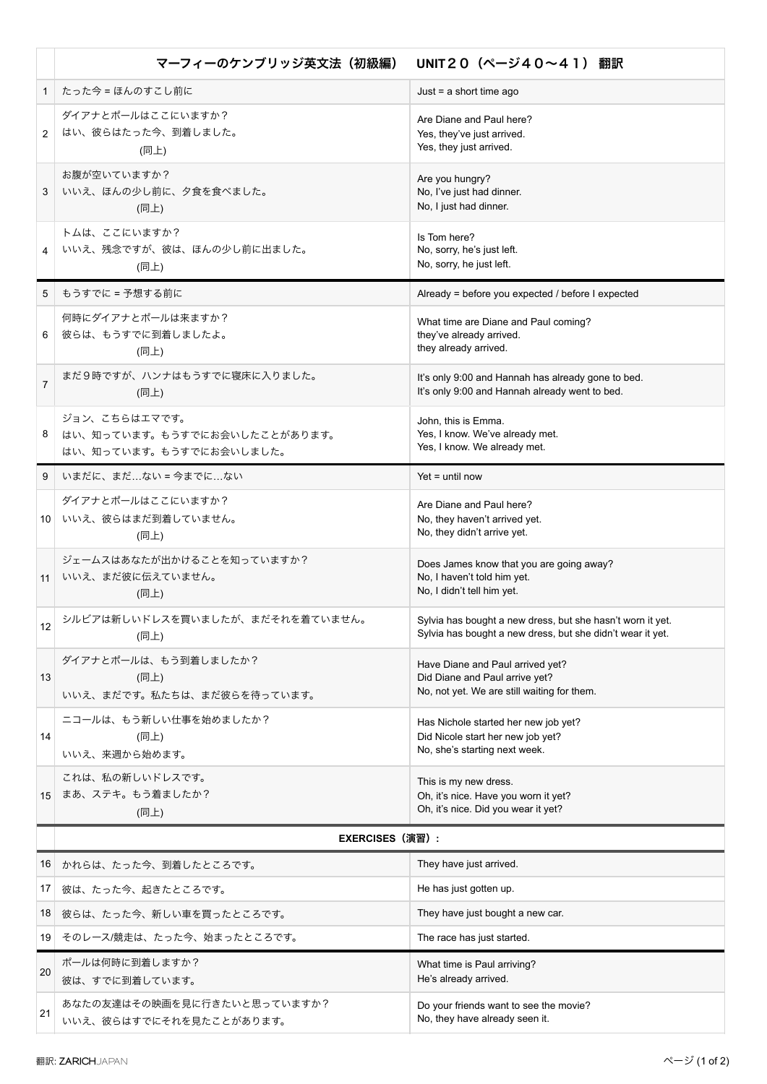|                | マーフィーのケンブリッジ英文法 (初級編)                                                    | UNIT20 (ページ40~41) 翻訳                                                                                                     |
|----------------|--------------------------------------------------------------------------|--------------------------------------------------------------------------------------------------------------------------|
| $\mathbf{1}$   | たった今 = ほんのすこし前に                                                          | Just = $a$ short time ago                                                                                                |
| 2              | ダイアナとポールはここにいますか?<br>はい、彼らはたった今、到着しました。<br>(同上)                          | Are Diane and Paul here?<br>Yes, they've just arrived.<br>Yes, they just arrived.                                        |
| 3              | お腹が空いていますか?<br>いいえ、ほんの少し前に、夕食を食べました。<br>(同上)                             | Are you hungry?<br>No, I've just had dinner.<br>No, I just had dinner.                                                   |
|                | トムは、ここにいますか?<br>いいえ、残念ですが、彼は、ほんの少し前に出ました。<br>(同上)                        | Is Tom here?<br>No, sorry, he's just left.<br>No, sorry, he just left.                                                   |
| 5              | もうすでに = 予想する前に                                                           | Already = before you expected / before I expected                                                                        |
| 6              | 何時にダイアナとポールは来ますか?<br>彼らは、もうすでに到着しましたよ。<br>(同上)                           | What time are Diane and Paul coming?<br>they've already arrived.<br>they already arrived.                                |
| $\overline{7}$ | まだ9時ですが、ハンナはもうすでに寝床に入りました。<br>(同上)                                       | It's only 9:00 and Hannah has already gone to bed.<br>It's only 9:00 and Hannah already went to bed.                     |
| 8              | ジョン、こちらはエマです。<br>はい、知っています。もうすでにお会いしたことがあります。<br>はい、知っています。もうすでにお会いしました。 | John, this is Emma.<br>Yes, I know. We've already met.<br>Yes, I know. We already met.                                   |
| 9              | いまだに、まだ…ない = 今までに…ない                                                     | $Yet = until now$                                                                                                        |
|                | ダイアナとポールはここにいますか?<br>10 いいえ、彼らはまだ到着していません。<br>(同上)                       | Are Diane and Paul here?<br>No, they haven't arrived yet.<br>No, they didn't arrive yet.                                 |
| 11             | ジェームスはあなたが出かけることを知っていますか?<br>いいえ、まだ彼に伝えていません。<br>(同上)                    | Does James know that you are going away?<br>No, I haven't told him yet.<br>No, I didn't tell him yet.                    |
| 12             | シルビアは新しいドレスを買いましたが、まだそれを着ていません。<br>(同上)                                  | Sylvia has bought a new dress, but she hasn't worn it yet.<br>Sylvia has bought a new dress, but she didn't wear it yet. |
| 13             | ダイアナとポールは、もう到着しましたか?<br>(同上)<br>いいえ、まだです。私たちは、まだ彼らを待っています。               | Have Diane and Paul arrived yet?<br>Did Diane and Paul arrive yet?<br>No, not yet. We are still waiting for them.        |
| 14             | ニコールは、もう新しい仕事を始めましたか?<br>(同上)<br>いいえ、来週から始めます。                           | Has Nichole started her new job yet?<br>Did Nicole start her new job yet?<br>No, she's starting next week.               |
| 15             | これは、私の新しいドレスです。<br>まあ、ステキ。もう着ましたか?<br>(同上)                               | This is my new dress.<br>Oh, it's nice. Have you worn it yet?<br>Oh, it's nice. Did you wear it yet?                     |
|                | EXERCISES (演習) :                                                         |                                                                                                                          |
| 16             | │ かれらは、たった今、到着したところです。                                                   | They have just arrived.                                                                                                  |
| 17             | 彼は、たった今、起きたところです。                                                        | He has just gotten up.                                                                                                   |
| 18             | 彼らは、たった今、新しい車を買ったところです。                                                  | They have just bought a new car.                                                                                         |
| 19             | そのレース/競走は、たった今、始まったところです。                                                | The race has just started.                                                                                               |
| 20             | ポールは何時に到着しますか?<br>彼は、すでに到着しています。                                         | What time is Paul arriving?<br>He's already arrived.                                                                     |
| 21             | あなたの友達はその映画を見に行きたいと思っていますか?<br>いいえ、彼らはすでにそれを見たことがあります。                   | Do your friends want to see the movie?<br>No, they have already seen it.                                                 |